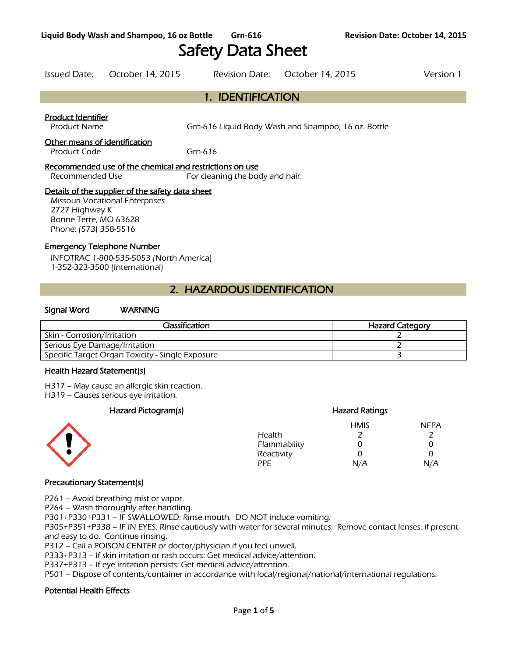# Safety Data Sheet

Issued Date: October 14, 2015 Revision Date: October 14, 2015 Version 1

# 1. IDENTIFICATION

### Product Identifier

Product Name **Gram-616** Grn-616 Liquid Body Wash and Shampoo, 16 oz. Bottle

### Other means of identification

Product Code Grn-616

### Recommended use of the chemical and restrictions on use

Recommended Use For cleaning the body and hair.

### Details of the supplier of the safety data sheet

Missouri Vocational Enterprises 2727 Highway K Bonne Terre, MO 63628 Phone: (573) 358-5516

### Emergency Telephone Number

INFOTRAC 1-800-535-5053 (North America) 1-352-323-3500 (International)

# 2. HAZARDOUS IDENTIFICATION

### Signal Word WARNING

| Classification                                   | <b>Hazard Category</b> |
|--------------------------------------------------|------------------------|
| Skin - Corrosion/Irritation                      |                        |
| Serious Eye Damage/Irritation                    |                        |
| Specific Target Organ Toxicity - Single Exposure |                        |
|                                                  |                        |

#### Health Hazard Statement(s)

H317 – May cause an allergic skin reaction.

H319 – Causes serious eye irritation.

### Hazard Pictogram(s) extending the extending Hazard Ratings



### HMIS NFPA Health 2 2 Flammability 0 0 0 Reactivity 0 0 0 PPE N/A N/A

### Precautionary Statement(s)

P261 – Avoid breathing mist or vapor.

P264 – Wash thoroughly after handling.

P301+P330+P331 – IF SWALLOWED: Rinse mouth. DO NOT induce vomiting.

P305+P351+P338 – IF IN EYES: Rinse cautiously with water for several minutes. Remove contact lenses, if present and easy to do. Continue rinsing.

P312 – Call a POISON CENTER or doctor/physician if you feel unwell.

P333+P313 – If skin irritation or rash occurs: Get medical advice/attention.

P337+P313 – If eye irritation persists: Get medical advice/attention.

P501 – Dispose of contents/container in accordance with local/regional/national/international regulations.

### Potential Health Effects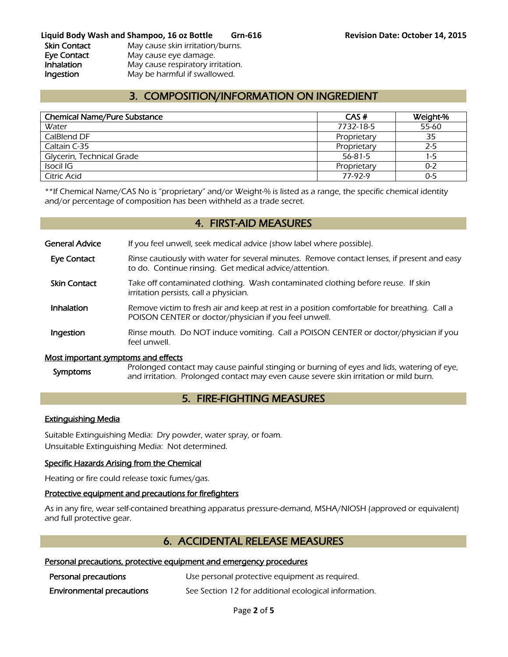**Liquid Body Wash and Shampoo, 16 oz Bottle Grn-616 Revision Date: October 14, 2015**  Skin Contact May cause skin irritation/burns. Eye Contact May cause eye damage. Inhalation May cause respiratory irritation. Ingestion May be harmful if swallowed.

# 3. COMPOSITION/INFORMATION ON INGREDIENT

| <b>Chemical Name/Pure Substance</b> | CAS#        | Weight-% |
|-------------------------------------|-------------|----------|
| Water                               | 7732-18-5   | 55-60    |
| CalBlend DF                         | Proprietary | 35       |
| Caltain C-35                        | Proprietary | $2 - 5$  |
| Glycerin, Technical Grade           | 56-81-5     | 1-5      |
| Isocil IG                           | Proprietary | $0 - 2$  |
| Citric Acid                         | 77-92-9     | $0 - 5$  |
|                                     |             |          |

\*\*If Chemical Name/CAS No is "proprietary" and/or Weight-% is listed as a range, the specific chemical identity and/or percentage of composition has been withheld as a trade secret.

### 4. FIRST-AID MEASURES

General Advice If you feel unwell, seek medical advice (show label where possible).

- Eye Contact Rinse cautiously with water for several minutes. Remove contact lenses, if present and easy to do. Continue rinsing. Get medical advice/attention.
- Skin Contact Take off contaminated clothing. Wash contaminated clothing before reuse. If skin irritation persists, call a physician.
- **Inhalation** Remove victim to fresh air and keep at rest in a position comfortable for breathing. Call a POISON CENTER or doctor/physician if you feel unwell.
- **Ingestion** Rinse mouth. Do NOT induce vomiting. Call a POISON CENTER or doctor/physician if you feel unwell.

#### Most important symptoms and effects

Symptoms Prolonged contact may cause painful stinging or burning of eyes and lids, watering of eye, and irritation. Prolonged contact may even cause severe skin irritation or mild burn.

# 5. FIRE-FIGHTING MEASURES

#### Extinguishing Media

Suitable Extinguishing Media: Dry powder, water spray, or foam. Unsuitable Extinguishing Media: Not determined.

#### Specific Hazards Arising from the Chemical

Heating or fire could release toxic fumes/gas.

#### Protective equipment and precautions for firefighters

As in any fire, wear self-contained breathing apparatus pressure-demand, MSHA/NIOSH (approved or equivalent) and full protective gear.

### 6. ACCIDENTAL RELEASE MEASURES

### Personal precautions, protective equipment and emergency procedures

| Personal precautions             | Use personal protective equipment as required.        |
|----------------------------------|-------------------------------------------------------|
| <b>Environmental precautions</b> | See Section 12 for additional ecological information. |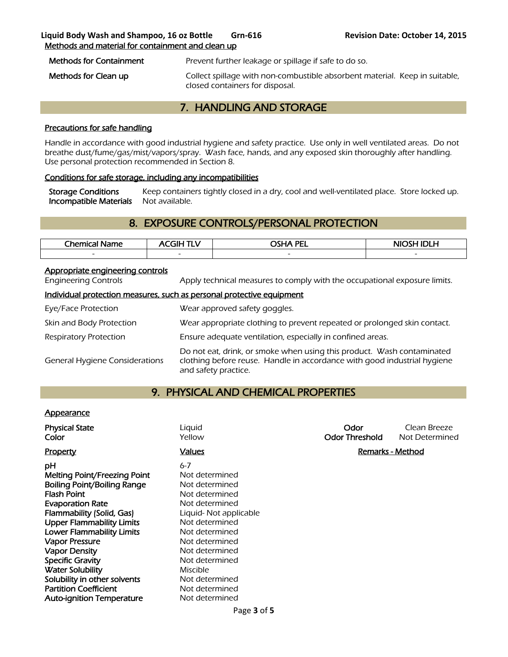### **Liquid Body Wash and Shampoo, 16 oz Bottle Grn-616 Revision Date: October 14, 2015**  Methods and material for containment and clean up

Methods for Containment Prevent further leakage or spillage if safe to do so.

Methods for Clean up **Collect spillage with non-combustible absorbent material.** Keep in suitable, closed containers for disposal.

# 7. HANDLING AND STORAGE

### Precautions for safe handling

Handle in accordance with good industrial hygiene and safety practice. Use only in well ventilated areas. Do not breathe dust/fume/gas/mist/vapors/spray. Wash face, hands, and any exposed skin thoroughly after handling. Use personal protection recommended in Section 8.

### Conditions for safe storage, including any incompatibilities

Storage Conditions Keep containers tightly closed in a dry, cool and well-ventilated place. Store locked up. Incompatible Materials Not available.

# 8. EXPOSURE CONTROLS/PERSONAL PROTECTION

| The mical <sub>1</sub><br>Name | <b>GIHT</b><br>1 L V     | <b>PEL</b><br>- -<br>пл. | NIOSH IDI H<br>-0 |
|--------------------------------|--------------------------|--------------------------|-------------------|
| $\overline{\phantom{a}}$       | $\overline{\phantom{0}}$ | $\overline{\phantom{0}}$ | $\sim$            |
|                                |                          |                          |                   |

### Appropriate engineering controls

Engineering Controls Apply technical measures to comply with the occupational exposure limits.

### Individual protection measures, such as personal protective equipment

| Eye/Face Protection                   | Wear approved safety goggles.                                                                                                                                              |
|---------------------------------------|----------------------------------------------------------------------------------------------------------------------------------------------------------------------------|
| Skin and Body Protection              | Wear appropriate clothing to prevent repeated or prolonged skin contact.                                                                                                   |
| Respiratory Protection                | Ensure adequate ventilation, especially in confined areas.                                                                                                                 |
| <b>General Hygiene Considerations</b> | Do not eat, drink, or smoke when using this product. Wash contaminated<br>clothing before reuse. Handle in accordance with good industrial hygiene<br>and safety practice. |

## 9. PHYSICAL AND CHEMICAL PROPERTIES

### **Appearance**

| <b>Physical State</b><br>Color                                                                                                                                                                                                                                                                                                                                                                                                                   | Liquid<br>Yellow                                                                                                                                                                                                                                                     | Odor<br><b>Odor Threshold</b> | Clean Breeze<br>Not Determined |
|--------------------------------------------------------------------------------------------------------------------------------------------------------------------------------------------------------------------------------------------------------------------------------------------------------------------------------------------------------------------------------------------------------------------------------------------------|----------------------------------------------------------------------------------------------------------------------------------------------------------------------------------------------------------------------------------------------------------------------|-------------------------------|--------------------------------|
| <b>Property</b>                                                                                                                                                                                                                                                                                                                                                                                                                                  | <u>Values</u>                                                                                                                                                                                                                                                        | Remarks - Method              |                                |
| рH<br><b>Melting Point/Freezing Point</b><br><b>Boiling Point/Boiling Range</b><br><b>Flash Point</b><br><b>Evaporation Rate</b><br>Flammability (Solid, Gas)<br><b>Upper Flammability Limits</b><br><b>Lower Flammability Limits</b><br><b>Vapor Pressure</b><br><b>Vapor Density</b><br><b>Specific Gravity</b><br><b>Water Solubility</b><br>Solubility in other solvents<br><b>Partition Coefficient</b><br><b>Auto-ignition Temperature</b> | $6 - 7$<br>Not determined<br>Not determined<br>Not determined<br>Not determined<br>Liquid-Not applicable<br>Not determined<br>Not determined<br>Not determined<br>Not determined<br>Not determined<br>Miscible<br>Not determined<br>Not determined<br>Not determined |                               |                                |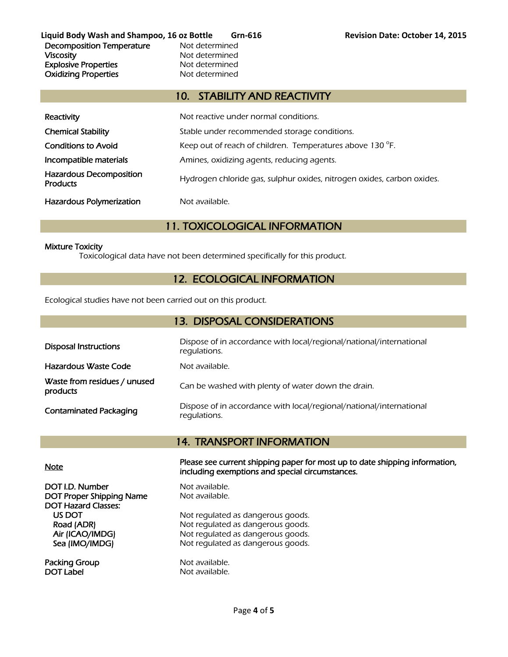Liquid Body Wash and Shampoo, 16 oz Bottle Grn-616 **Revision Date: October 14, 2015** Decomposition Temperature Mot determined Viscosity **Not determined** Explosive Properties<br>
Oxidizina Properties<br>
Oxidizina Properties<br>
Not determined **Oxidizing Properties** 

# 10. STABILITY AND REACTIVITY

| Reactivity                                        | Not reactive under normal conditions.                                  |
|---------------------------------------------------|------------------------------------------------------------------------|
| <b>Chemical Stability</b>                         | Stable under recommended storage conditions.                           |
| <b>Conditions to Avoid</b>                        | Keep out of reach of children. Temperatures above 130 °F.              |
| Incompatible materials                            | Amines, oxidizing agents, reducing agents.                             |
| <b>Hazardous Decomposition</b><br><b>Products</b> | Hydrogen chloride gas, sulphur oxides, nitrogen oxides, carbon oxides. |
| <b>Hazardous Polymerization</b>                   | Not available.                                                         |

# 11. TOXICOLOGICAL INFORMATION

### Mixture Toxicity

Toxicological data have not been determined specifically for this product.

# 12. ECOLOGICAL INFORMATION

Ecological studies have not been carried out on this product.

| 13. DISPOSAL CONSIDERATIONS              |                                                                                     |  |  |
|------------------------------------------|-------------------------------------------------------------------------------------|--|--|
| <b>Disposal Instructions</b>             | Dispose of in accordance with local/regional/national/international<br>regulations. |  |  |
| Hazardous Waste Code                     | Not available.                                                                      |  |  |
| Waste from residues / unused<br>products | Can be washed with plenty of water down the drain.                                  |  |  |
| <b>Contaminated Packaging</b>            | Dispose of in accordance with local/regional/national/international<br>regulations. |  |  |

## 14. TRANSPORT INFORMATION

DOT I.D. Number Not available. DOT Proper Shipping Name Not available. DOT Hazard Classes:

Packing Group Not available. DOT Label Not available.

Note Please see current shipping paper for most up to date shipping information, including exemptions and special circumstances.

US DOT Not regulated as dangerous goods.<br>
Road (ADR) Not regulated as dangerous goods. Not regulated as dangerous goods. Air (ICAO/IMDG) Not regulated as dangerous goods. Sea (IMO/IMDG) Not regulated as dangerous goods.